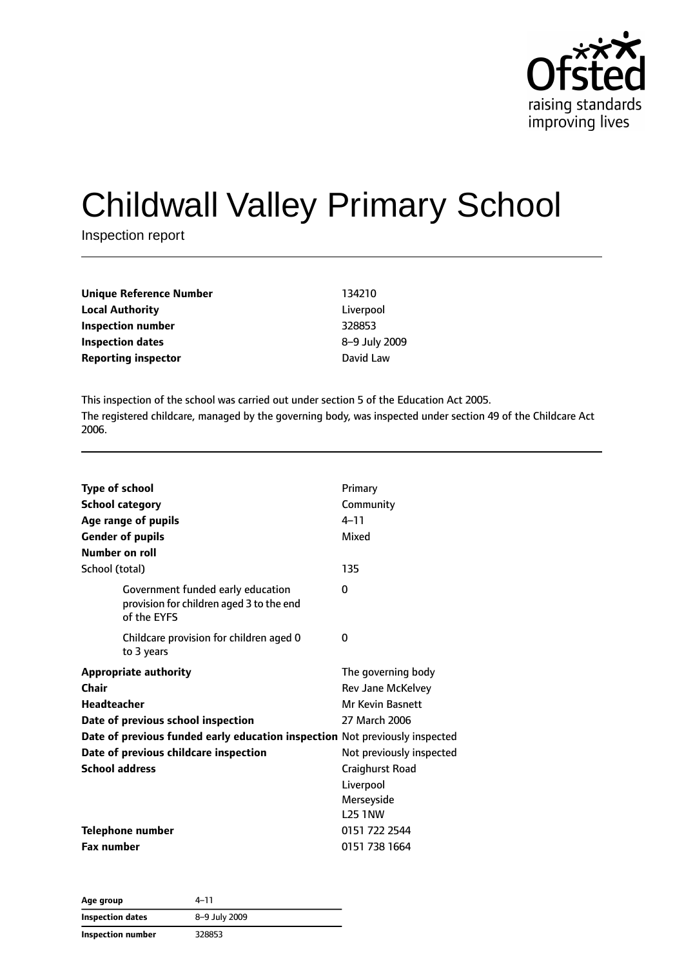

# Childwall Valley Primary School

Inspection report

| Unique Reference Number    | 134210        |
|----------------------------|---------------|
| <b>Local Authority</b>     | Liverpool     |
| Inspection number          | 328853        |
| <b>Inspection dates</b>    | 8-9 July 2009 |
| <b>Reporting inspector</b> | David Law     |
|                            |               |

This inspection of the school was carried out under section 5 of the Education Act 2005. The registered childcare, managed by the governing body, was inspected under section 49 of the Childcare Act 2006.

| <b>Type of school</b><br><b>School category</b><br>Age range of pupils<br><b>Gender of pupils</b><br>Number on roll | Primary<br>Community<br>$4 - 11$<br>Mixed |
|---------------------------------------------------------------------------------------------------------------------|-------------------------------------------|
| School (total)                                                                                                      | 135                                       |
| Government funded early education<br>provision for children aged 3 to the end<br>of the EYFS                        | 0                                         |
| Childcare provision for children aged 0<br>to 3 years                                                               | 0                                         |
| <b>Appropriate authority</b>                                                                                        | The governing body                        |
| Chair                                                                                                               | Rev Jane McKelvey                         |
| <b>Headteacher</b>                                                                                                  | <b>Mr Kevin Basnett</b>                   |
| Date of previous school inspection                                                                                  | 27 March 2006                             |
| Date of previous funded early education inspection Not previously inspected                                         |                                           |
| Date of previous childcare inspection                                                                               | Not previously inspected                  |
| <b>School address</b>                                                                                               | Craighurst Road                           |
|                                                                                                                     | Liverpool                                 |
|                                                                                                                     | Merseyside                                |
|                                                                                                                     | <b>L25 1NW</b>                            |
| <b>Telephone number</b>                                                                                             | 0151 722 2544                             |
| <b>Fax number</b>                                                                                                   | 0151 738 1664                             |

| Age group         | 4–11          |
|-------------------|---------------|
| Inspection dates  | 8-9 July 2009 |
| Inspection number | 328853        |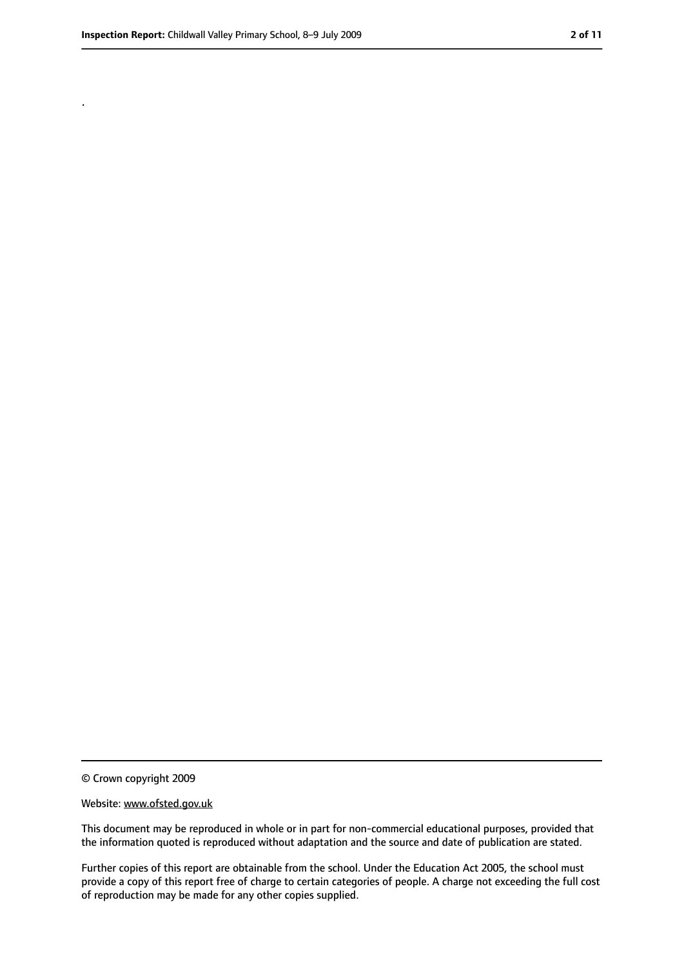.

<sup>©</sup> Crown copyright 2009

Website: www.ofsted.gov.uk

This document may be reproduced in whole or in part for non-commercial educational purposes, provided that the information quoted is reproduced without adaptation and the source and date of publication are stated.

Further copies of this report are obtainable from the school. Under the Education Act 2005, the school must provide a copy of this report free of charge to certain categories of people. A charge not exceeding the full cost of reproduction may be made for any other copies supplied.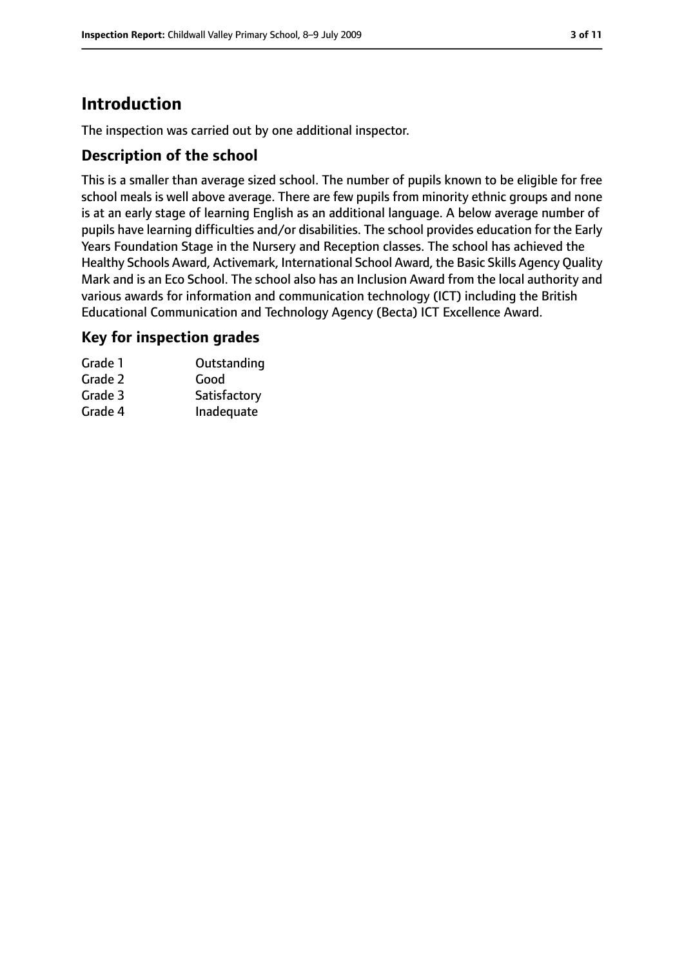# **Introduction**

The inspection was carried out by one additional inspector.

## **Description of the school**

This is a smaller than average sized school. The number of pupils known to be eligible for free school meals is well above average. There are few pupils from minority ethnic groups and none is at an early stage of learning English as an additional language. A below average number of pupils have learning difficulties and/or disabilities. The school provides education for the Early Years Foundation Stage in the Nursery and Reception classes. The school has achieved the Healthy Schools Award, Activemark, International School Award, the Basic Skills Agency Quality Mark and is an Eco School. The school also has an Inclusion Award from the local authority and various awards for information and communication technology (ICT) including the British Educational Communication and Technology Agency (Becta) ICT Excellence Award.

## **Key for inspection grades**

| Grade 1 | Outstanding  |
|---------|--------------|
| Grade 2 | Good         |
| Grade 3 | Satisfactory |
| Grade 4 | Inadequate   |
|         |              |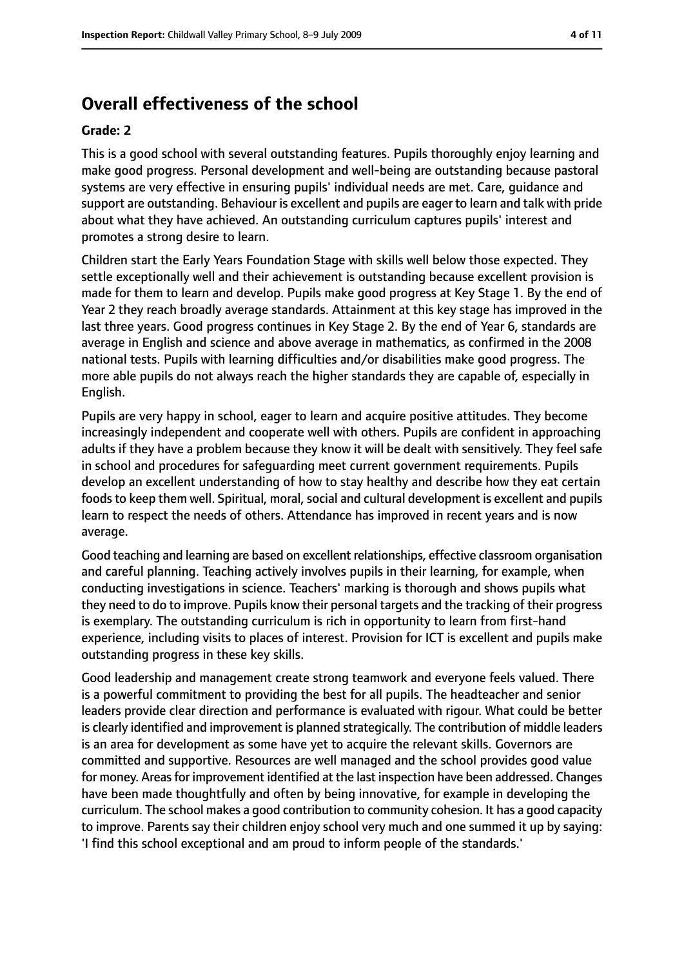# **Overall effectiveness of the school**

#### **Grade: 2**

This is a good school with several outstanding features. Pupils thoroughly enjoy learning and make good progress. Personal development and well-being are outstanding because pastoral systems are very effective in ensuring pupils' individual needs are met. Care, guidance and support are outstanding. Behaviour is excellent and pupils are eager to learn and talk with pride about what they have achieved. An outstanding curriculum captures pupils' interest and promotes a strong desire to learn.

Children start the Early Years Foundation Stage with skills well below those expected. They settle exceptionally well and their achievement is outstanding because excellent provision is made for them to learn and develop. Pupils make good progress at Key Stage 1. By the end of Year 2 they reach broadly average standards. Attainment at this key stage has improved in the last three years. Good progress continues in Key Stage 2. By the end of Year 6, standards are average in English and science and above average in mathematics, as confirmed in the 2008 national tests. Pupils with learning difficulties and/or disabilities make good progress. The more able pupils do not always reach the higher standards they are capable of, especially in English.

Pupils are very happy in school, eager to learn and acquire positive attitudes. They become increasingly independent and cooperate well with others. Pupils are confident in approaching adults if they have a problem because they know it will be dealt with sensitively. They feel safe in school and procedures for safeguarding meet current government requirements. Pupils develop an excellent understanding of how to stay healthy and describe how they eat certain foods to keep them well. Spiritual, moral, social and cultural development is excellent and pupils learn to respect the needs of others. Attendance has improved in recent years and is now average.

Good teaching and learning are based on excellent relationships, effective classroom organisation and careful planning. Teaching actively involves pupils in their learning, for example, when conducting investigations in science. Teachers' marking is thorough and shows pupils what they need to do to improve. Pupils know their personal targets and the tracking of their progress is exemplary. The outstanding curriculum is rich in opportunity to learn from first-hand experience, including visits to places of interest. Provision for ICT is excellent and pupils make outstanding progress in these key skills.

Good leadership and management create strong teamwork and everyone feels valued. There is a powerful commitment to providing the best for all pupils. The headteacher and senior leaders provide clear direction and performance is evaluated with rigour. What could be better is clearly identified and improvement is planned strategically. The contribution of middle leaders is an area for development as some have yet to acquire the relevant skills. Governors are committed and supportive. Resources are well managed and the school provides good value for money. Areas for improvement identified at the last inspection have been addressed. Changes have been made thoughtfully and often by being innovative, for example in developing the curriculum. The school makes a good contribution to community cohesion. It has a good capacity to improve. Parents say their children enjoy school very much and one summed it up by saying: 'I find this school exceptional and am proud to inform people of the standards.'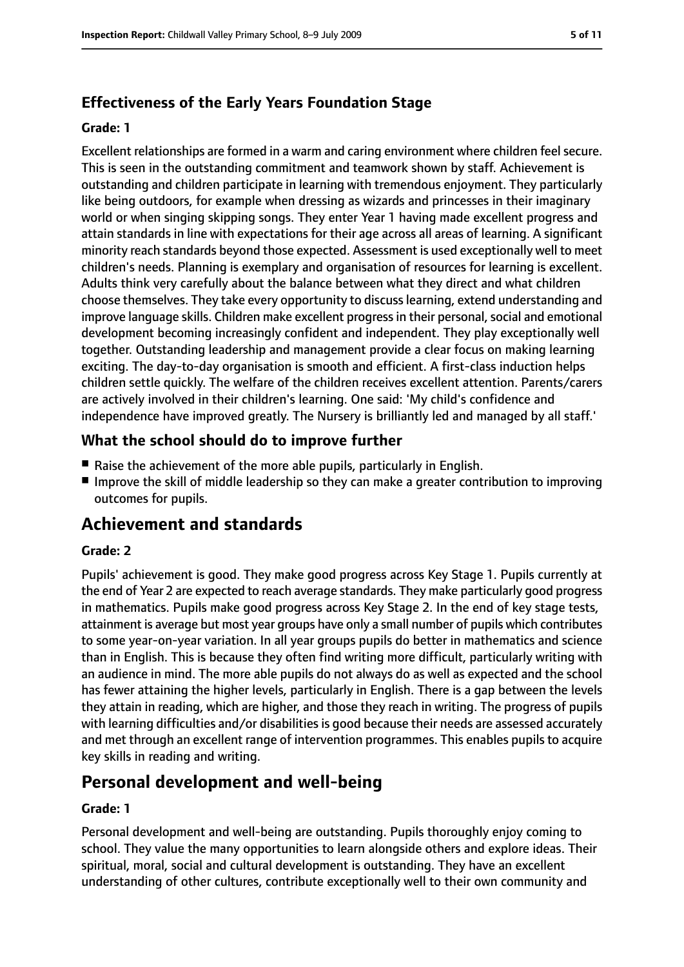# **Effectiveness of the Early Years Foundation Stage**

#### **Grade: 1**

Excellent relationships are formed in a warm and caring environment where children feel secure. This is seen in the outstanding commitment and teamwork shown by staff. Achievement is outstanding and children participate in learning with tremendous enjoyment. They particularly like being outdoors, for example when dressing as wizards and princesses in their imaginary world or when singing skipping songs. They enter Year 1 having made excellent progress and attain standards in line with expectations for their age across all areas of learning. A significant minority reach standards beyond those expected. Assessment is used exceptionally well to meet children's needs. Planning is exemplary and organisation of resources for learning is excellent. Adults think very carefully about the balance between what they direct and what children choose themselves. They take every opportunity to discusslearning, extend understanding and improve language skills. Children make excellent progress in their personal, social and emotional development becoming increasingly confident and independent. They play exceptionally well together. Outstanding leadership and management provide a clear focus on making learning exciting. The day-to-day organisation is smooth and efficient. A first-class induction helps children settle quickly. The welfare of the children receives excellent attention. Parents/carers are actively involved in their children's learning. One said: 'My child's confidence and independence have improved greatly. The Nursery is brilliantly led and managed by all staff.'

## **What the school should do to improve further**

- Raise the achievement of the more able pupils, particularly in English.
- Improve the skill of middle leadership so they can make a greater contribution to improving outcomes for pupils.

# **Achievement and standards**

#### **Grade: 2**

Pupils' achievement is good. They make good progress across Key Stage 1. Pupils currently at the end of Year 2 are expected to reach average standards. They make particularly good progress in mathematics. Pupils make good progress across Key Stage 2. In the end of key stage tests, attainment is average but most year groups have only a small number of pupils which contributes to some year-on-year variation. In all year groups pupils do better in mathematics and science than in English. This is because they often find writing more difficult, particularly writing with an audience in mind. The more able pupils do not always do as well as expected and the school has fewer attaining the higher levels, particularly in English. There is a gap between the levels they attain in reading, which are higher, and those they reach in writing. The progress of pupils with learning difficulties and/or disabilities is good because their needs are assessed accurately and met through an excellent range of intervention programmes. This enables pupils to acquire key skills in reading and writing.

# **Personal development and well-being**

#### **Grade: 1**

Personal development and well-being are outstanding. Pupils thoroughly enjoy coming to school. They value the many opportunities to learn alongside others and explore ideas. Their spiritual, moral, social and cultural development is outstanding. They have an excellent understanding of other cultures, contribute exceptionally well to their own community and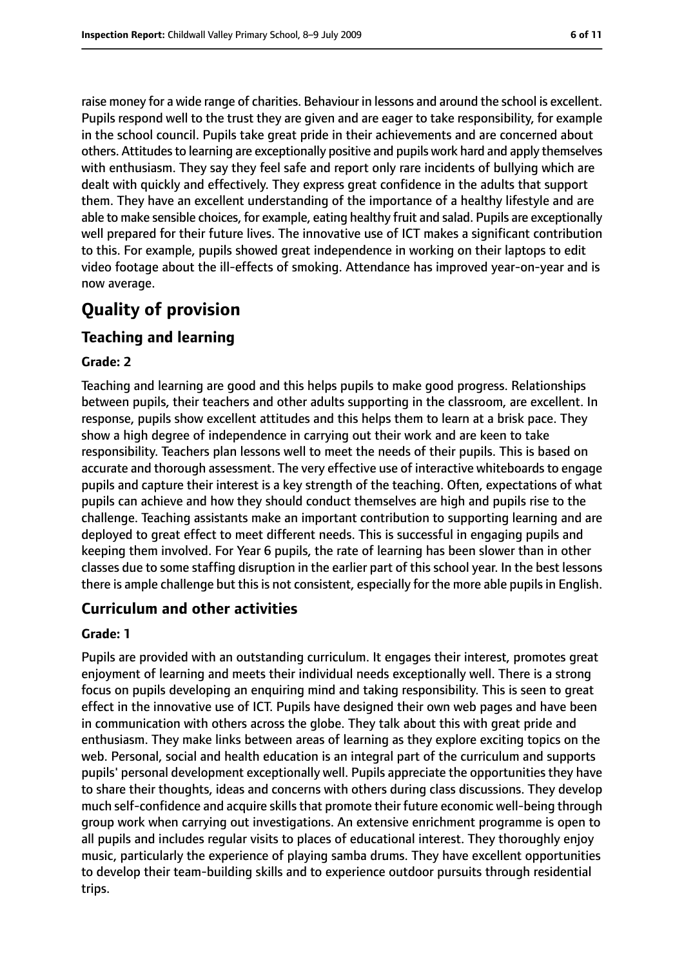raise money for a wide range of charities. Behaviour in lessons and around the school is excellent. Pupils respond well to the trust they are given and are eager to take responsibility, for example in the school council. Pupils take great pride in their achievements and are concerned about others. Attitudes to learning are exceptionally positive and pupils work hard and apply themselves with enthusiasm. They say they feel safe and report only rare incidents of bullying which are dealt with quickly and effectively. They express great confidence in the adults that support them. They have an excellent understanding of the importance of a healthy lifestyle and are able to make sensible choices, for example, eating healthy fruit and salad. Pupils are exceptionally well prepared for their future lives. The innovative use of ICT makes a significant contribution to this. For example, pupils showed great independence in working on their laptops to edit video footage about the ill-effects of smoking. Attendance has improved year-on-year and is now average.

# **Quality of provision**

## **Teaching and learning**

#### **Grade: 2**

Teaching and learning are good and this helps pupils to make good progress. Relationships between pupils, their teachers and other adults supporting in the classroom, are excellent. In response, pupils show excellent attitudes and this helps them to learn at a brisk pace. They show a high degree of independence in carrying out their work and are keen to take responsibility. Teachers plan lessons well to meet the needs of their pupils. This is based on accurate and thorough assessment. The very effective use of interactive whiteboards to engage pupils and capture their interest is a key strength of the teaching. Often, expectations of what pupils can achieve and how they should conduct themselves are high and pupils rise to the challenge. Teaching assistants make an important contribution to supporting learning and are deployed to great effect to meet different needs. This is successful in engaging pupils and keeping them involved. For Year 6 pupils, the rate of learning has been slower than in other classes due to some staffing disruption in the earlier part of this school year. In the best lessons there is ample challenge but this is not consistent, especially for the more able pupils in English.

## **Curriculum and other activities**

#### **Grade: 1**

Pupils are provided with an outstanding curriculum. It engages their interest, promotes great enjoyment of learning and meets their individual needs exceptionally well. There is a strong focus on pupils developing an enquiring mind and taking responsibility. This is seen to great effect in the innovative use of ICT. Pupils have designed their own web pages and have been in communication with others across the globe. They talk about this with great pride and enthusiasm. They make links between areas of learning as they explore exciting topics on the web. Personal, social and health education is an integral part of the curriculum and supports pupils' personal development exceptionally well. Pupils appreciate the opportunities they have to share their thoughts, ideas and concerns with others during class discussions. They develop much self-confidence and acquire skills that promote their future economic well-being through group work when carrying out investigations. An extensive enrichment programme is open to all pupils and includes regular visits to places of educational interest. They thoroughly enjoy music, particularly the experience of playing samba drums. They have excellent opportunities to develop their team-building skills and to experience outdoor pursuits through residential trips.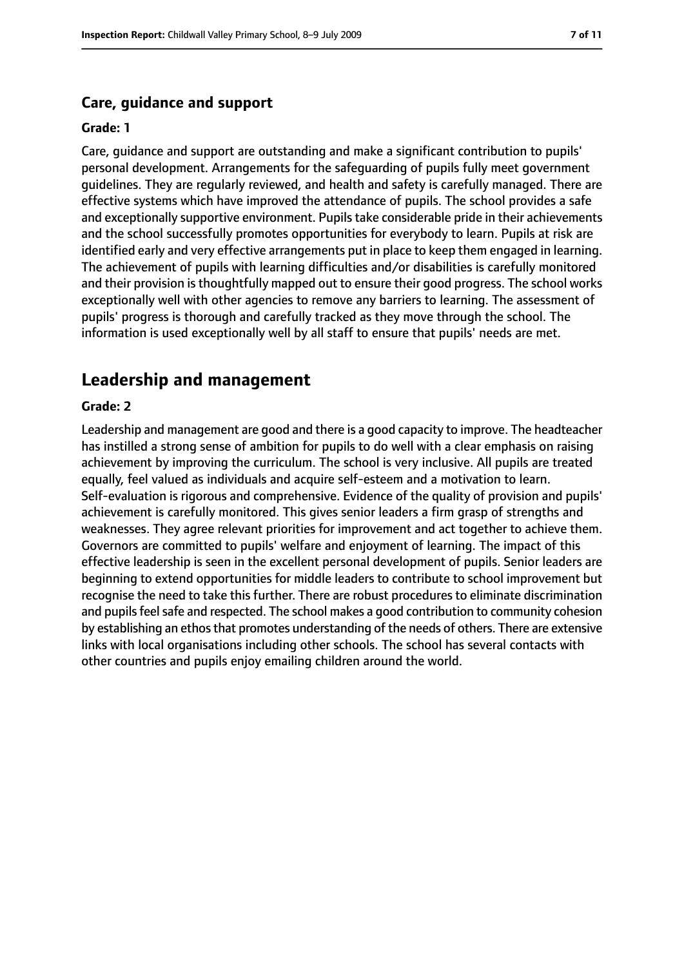#### **Care, guidance and support**

#### **Grade: 1**

Care, guidance and support are outstanding and make a significant contribution to pupils' personal development. Arrangements for the safeguarding of pupils fully meet government guidelines. They are regularly reviewed, and health and safety is carefully managed. There are effective systems which have improved the attendance of pupils. The school provides a safe and exceptionally supportive environment. Pupils take considerable pride in their achievements and the school successfully promotes opportunities for everybody to learn. Pupils at risk are identified early and very effective arrangements put in place to keep them engaged in learning. The achievement of pupils with learning difficulties and/or disabilities is carefully monitored and their provision is thoughtfully mapped out to ensure their good progress. The school works exceptionally well with other agencies to remove any barriers to learning. The assessment of pupils' progress is thorough and carefully tracked as they move through the school. The information is used exceptionally well by all staff to ensure that pupils' needs are met.

## **Leadership and management**

#### **Grade: 2**

Leadership and management are good and there is a good capacity to improve. The headteacher has instilled a strong sense of ambition for pupils to do well with a clear emphasis on raising achievement by improving the curriculum. The school is very inclusive. All pupils are treated equally, feel valued as individuals and acquire self-esteem and a motivation to learn. Self-evaluation is rigorous and comprehensive. Evidence of the quality of provision and pupils' achievement is carefully monitored. This gives senior leaders a firm grasp of strengths and weaknesses. They agree relevant priorities for improvement and act together to achieve them. Governors are committed to pupils' welfare and enjoyment of learning. The impact of this effective leadership is seen in the excellent personal development of pupils. Senior leaders are beginning to extend opportunities for middle leaders to contribute to school improvement but recognise the need to take this further. There are robust procedures to eliminate discrimination and pupils feel safe and respected. The school makes a good contribution to community cohesion by establishing an ethos that promotes understanding of the needs of others. There are extensive links with local organisations including other schools. The school has several contacts with other countries and pupils enjoy emailing children around the world.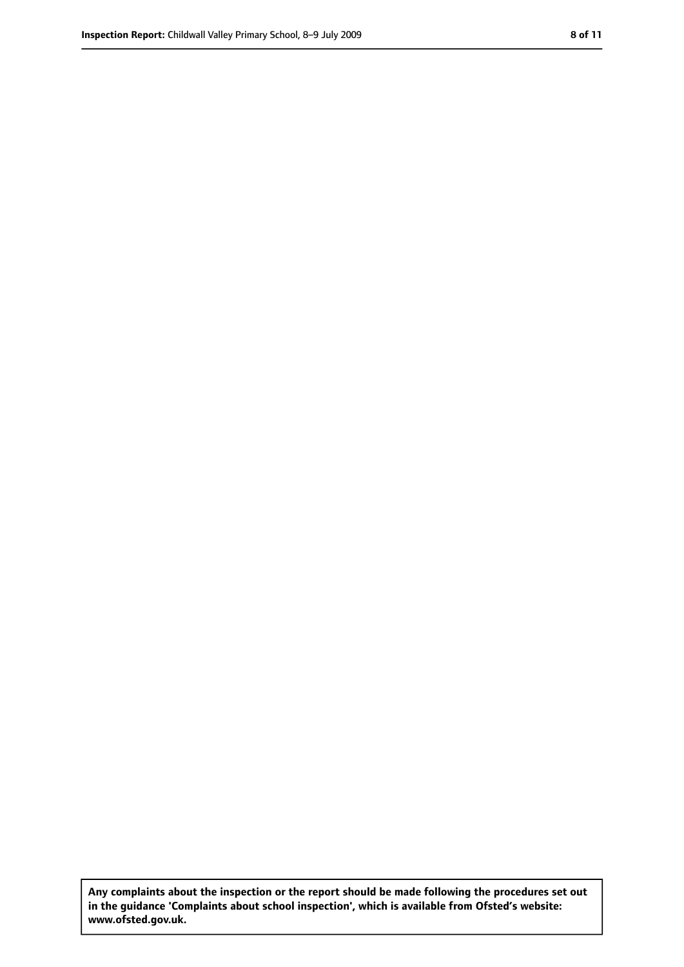**Any complaints about the inspection or the report should be made following the procedures set out in the guidance 'Complaints about school inspection', which is available from Ofsted's website: www.ofsted.gov.uk.**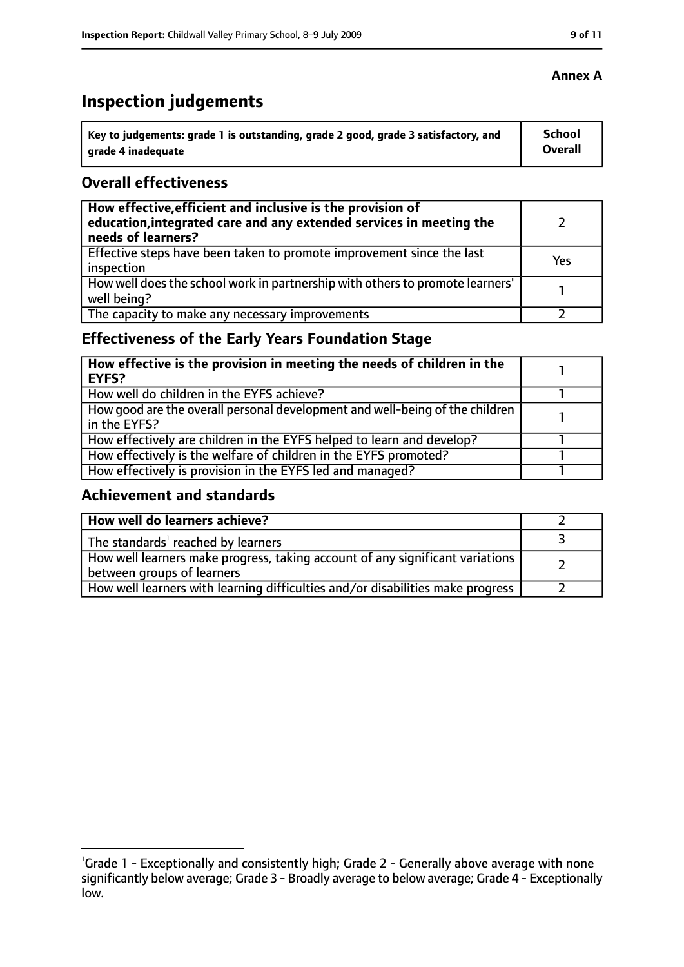# **Inspection judgements**

| Key to judgements: grade 1 is outstanding, grade 2 good, grade 3 satisfactory, and | <b>School</b>  |
|------------------------------------------------------------------------------------|----------------|
| arade 4 inadequate                                                                 | <b>Overall</b> |

## **Overall effectiveness**

| How effective, efficient and inclusive is the provision of<br>education, integrated care and any extended services in meeting the<br>needs of learners? |     |
|---------------------------------------------------------------------------------------------------------------------------------------------------------|-----|
| Effective steps have been taken to promote improvement since the last<br>inspection                                                                     | Yes |
| How well does the school work in partnership with others to promote learners'<br>well being?                                                            |     |
| The capacity to make any necessary improvements                                                                                                         |     |

# **Effectiveness of the Early Years Foundation Stage**

| How effective is the provision in meeting the needs of children in the<br><b>EYFS?</b>       |  |
|----------------------------------------------------------------------------------------------|--|
| How well do children in the EYFS achieve?                                                    |  |
| How good are the overall personal development and well-being of the children<br>in the EYFS? |  |
| How effectively are children in the EYFS helped to learn and develop?                        |  |
| How effectively is the welfare of children in the EYFS promoted?                             |  |
| How effectively is provision in the EYFS led and managed?                                    |  |

## **Achievement and standards**

| How well do learners achieve?                                                                               |  |
|-------------------------------------------------------------------------------------------------------------|--|
| The standards <sup>1</sup> reached by learners                                                              |  |
| How well learners make progress, taking account of any significant variations<br>between groups of learners |  |
| How well learners with learning difficulties and/or disabilities make progress                              |  |

#### **Annex A**

<sup>&</sup>lt;sup>1</sup>Grade 1 - Exceptionally and consistently high; Grade 2 - Generally above average with none significantly below average; Grade 3 - Broadly average to below average; Grade 4 - Exceptionally low.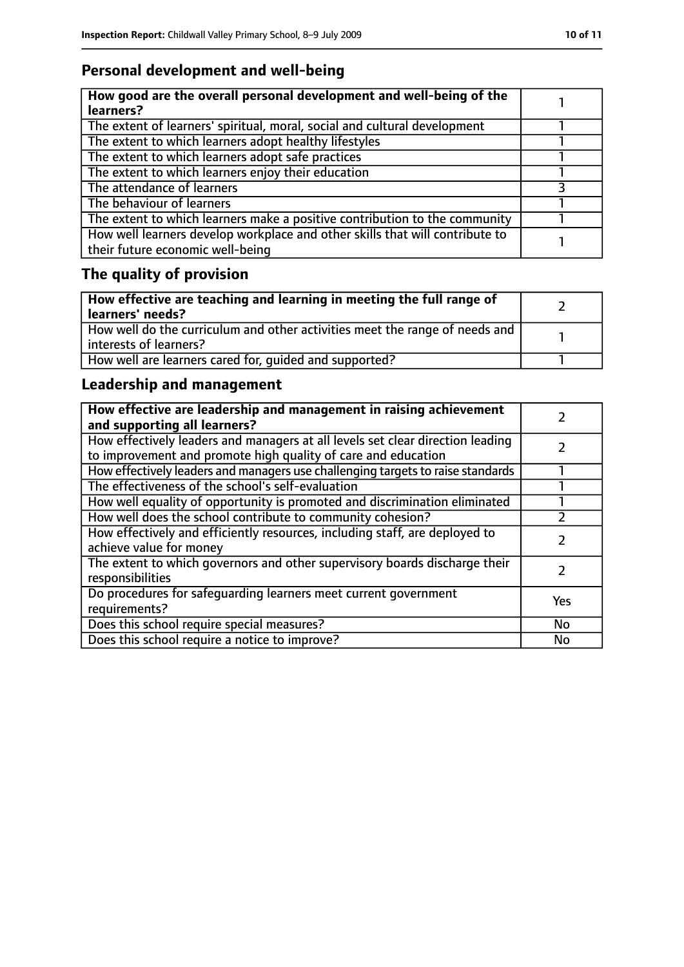# **Personal development and well-being**

| How good are the overall personal development and well-being of the<br>learners?                                 |  |
|------------------------------------------------------------------------------------------------------------------|--|
| The extent of learners' spiritual, moral, social and cultural development                                        |  |
| The extent to which learners adopt healthy lifestyles                                                            |  |
| The extent to which learners adopt safe practices                                                                |  |
| The extent to which learners enjoy their education                                                               |  |
| The attendance of learners                                                                                       |  |
| The behaviour of learners                                                                                        |  |
| The extent to which learners make a positive contribution to the community                                       |  |
| How well learners develop workplace and other skills that will contribute to<br>their future economic well-being |  |

# **The quality of provision**

| How effective are teaching and learning in meeting the full range of<br>learners' needs?              |  |
|-------------------------------------------------------------------------------------------------------|--|
| How well do the curriculum and other activities meet the range of needs and<br>interests of learners? |  |
| How well are learners cared for, quided and supported?                                                |  |

# **Leadership and management**

| How effective are leadership and management in raising achievement<br>and supporting all learners?                                              |     |
|-------------------------------------------------------------------------------------------------------------------------------------------------|-----|
| How effectively leaders and managers at all levels set clear direction leading<br>to improvement and promote high quality of care and education |     |
| How effectively leaders and managers use challenging targets to raise standards                                                                 |     |
| The effectiveness of the school's self-evaluation                                                                                               |     |
| How well equality of opportunity is promoted and discrimination eliminated                                                                      |     |
| How well does the school contribute to community cohesion?                                                                                      |     |
| How effectively and efficiently resources, including staff, are deployed to<br>achieve value for money                                          |     |
| The extent to which governors and other supervisory boards discharge their<br>responsibilities                                                  |     |
| Do procedures for safeguarding learners meet current government<br>requirements?                                                                | Yes |
| Does this school require special measures?                                                                                                      | No  |
| Does this school require a notice to improve?                                                                                                   | No  |